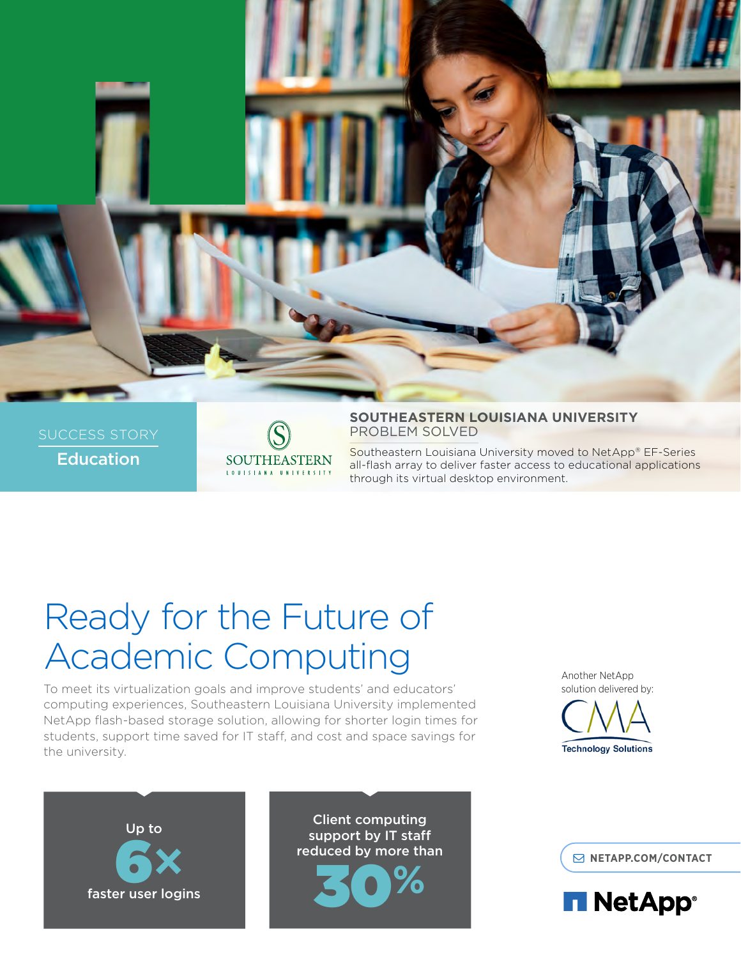

**Education** 



**SOUTHEASTERN LOUISIANA UNIVERSITY** PROBLEM SOLVED

Southeastern Louisiana University moved to NetApp® EF-Series all-flash array to deliver faster access to educational applications through its virtual desktop environment.

# Ready for the Future of Academic Computing

To meet its virtualization goals and improve students' and educators' computing experiences, Southeastern Louisiana University implemented NetApp flash-based storage solution, allowing for shorter login times for students, support time saved for IT staff, and cost and space savings for the university.

Another NetApp solution delivered by:





Client computing support by IT staff reduced by more than 30**%**

**[NETAPP.COM/CONTACT](http://www.netapp.com/us/forms/sales-contact.aspx)**

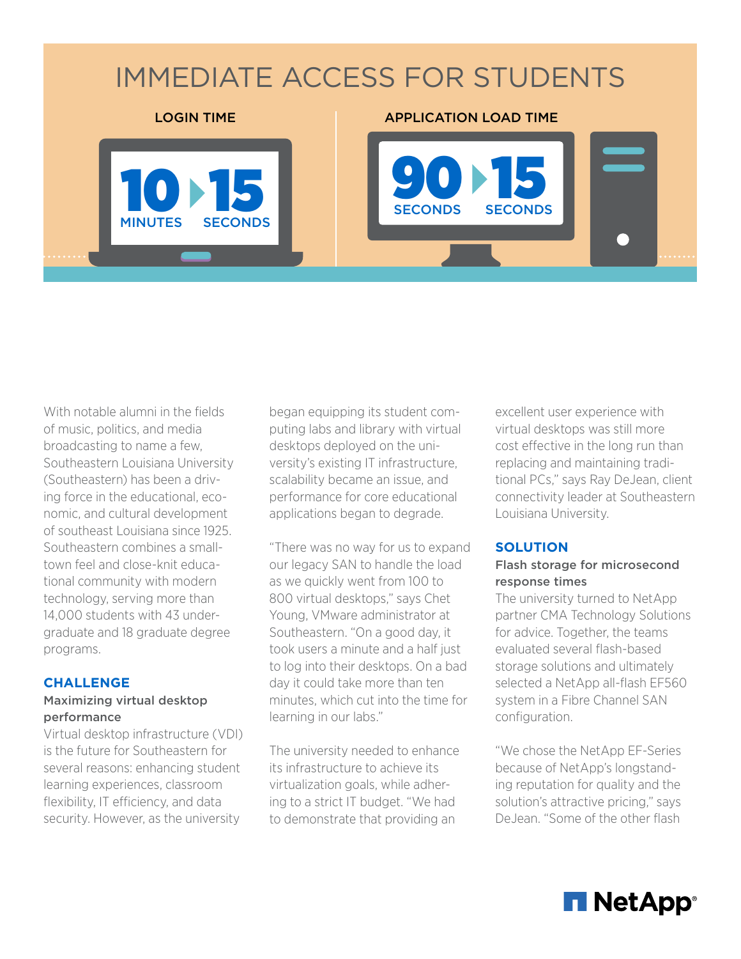# IMMEDIATE ACCESS FOR STUDENTS 10 15 90 **SECONDS** 15 SECONDS LOGIN TIME **APPLICATION LOAD TIME**

With notable alumni in the fields of music, politics, and media broadcasting to name a few, Southeastern Louisiana University (Southeastern) has been a driving force in the educational, economic, and cultural development of southeast Louisiana since 1925. Southeastern combines a smalltown feel and close-knit educational community with modern technology, serving more than 14,000 students with 43 undergraduate and 18 graduate degree programs.

MINUTES

**SECONDS** 

# **CHALLENGE**

#### Maximizing virtual desktop performance

Virtual desktop infrastructure (VDI) is the future for Southeastern for several reasons: enhancing student learning experiences, classroom flexibility, IT efficiency, and data security. However, as the university

began equipping its student computing labs and library with virtual desktops deployed on the university's existing IT infrastructure, scalability became an issue, and performance for core educational applications began to degrade.

"There was no way for us to expand our legacy SAN to handle the load as we quickly went from 100 to 800 virtual desktops," says Chet Young, VMware administrator at Southeastern. "On a good day, it took users a minute and a half just to log into their desktops. On a bad day it could take more than ten minutes, which cut into the time for learning in our labs."

The university needed to enhance its infrastructure to achieve its virtualization goals, while adhering to a strict IT budget. "We had to demonstrate that providing an

excellent user experience with virtual desktops was still more cost effective in the long run than replacing and maintaining traditional PCs," says Ray DeJean, client connectivity leader at Southeastern Louisiana University.

### **SOLUTION**

### Flash storage for microsecond response times

The university turned to NetApp partner CMA Technology Solutions for advice. Together, the teams evaluated several flash-based storage solutions and ultimately selected a NetApp all-flash EF560 system in a Fibre Channel SAN configuration.

"We chose the NetApp EF-Series because of NetApp's longstanding reputation for quality and the solution's attractive pricing," says DeJean. "Some of the other flash

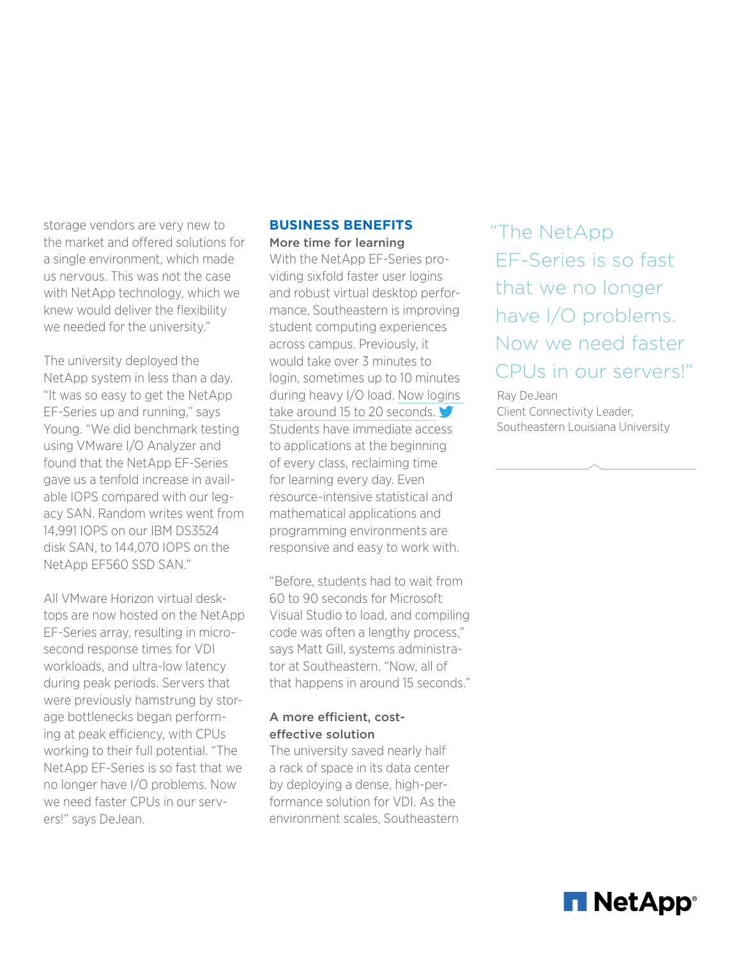storage vendors are very new to the market and offered solutions for a single environment, which made us nervous. This was not the case with NetApp technology, which we knew would deliver the flexibility we needed for the university."

The university deployed the NetApp system in less than a day. "It was so easy to get the NetApp EF-Series up and running," says Young. "We did benchmark testing using VMware I/O Analyzer and found that the NetApp EF-Series gave us a tenfold increase in available IOPS compared with our legacy SAN. Random writes went from 14,991 IOPS on our IBM DS3524 disk SAN, to 144,070 IOPS on the NetApp EF560 SSD SAN."

All VMware Horizon virtual desktops are now hosted on the NetApp EF-Series array, resulting in microsecond response times for VDI workloads, and ultra-low latency during peak periods. Servers that were previously hamstrung by storage bottlenecks began performing at peak efficiency, with CPUs working to their full potential. "The NetApp EF-Series is so fast that we no longer have I/O problems. Now we need faster CPUs in our servers!" says DeJean.

### **BUSINESS BENEFITS** More time for learning

With the NetApp EF-Series providing sixfold faster user logins and robust virtual desktop performance, Southeastern is improving student computing experiences across campus. Previously, it would take over 3 minutes to login, sometimes up to 10 minutes during heavy I/O load. [Now logins](http://ctt.ec/3B7aT)  [take around 15 to 20 seconds.](http://ctt.ec/3B7aT) Students have immediate access to applications at the beginning of every class, reclaiming time for learning every day. Even resource-intensive statistical and mathematical applications and programming environments are responsive and easy to work with.

"Before, students had to wait from 60 to 90 seconds for Microsoft Visual Studio to load, and compiling code was often a lengthy process," says Matt Gill, systems administrator at Southeastern. "Now, all of that happens in around 15 seconds."

## A more efficient, costeffective solution

The university saved nearly half a rack of space in its data center by deploying a dense, high-performance solution for VDI. As the environment scales, Southeastern "The NetApp EF-Series is so fast that we no longer have I/O problems. Now we need faster CPUs in our servers!"

Ray DeJean Client Connectivity Leader, Southeastern Louisiana University